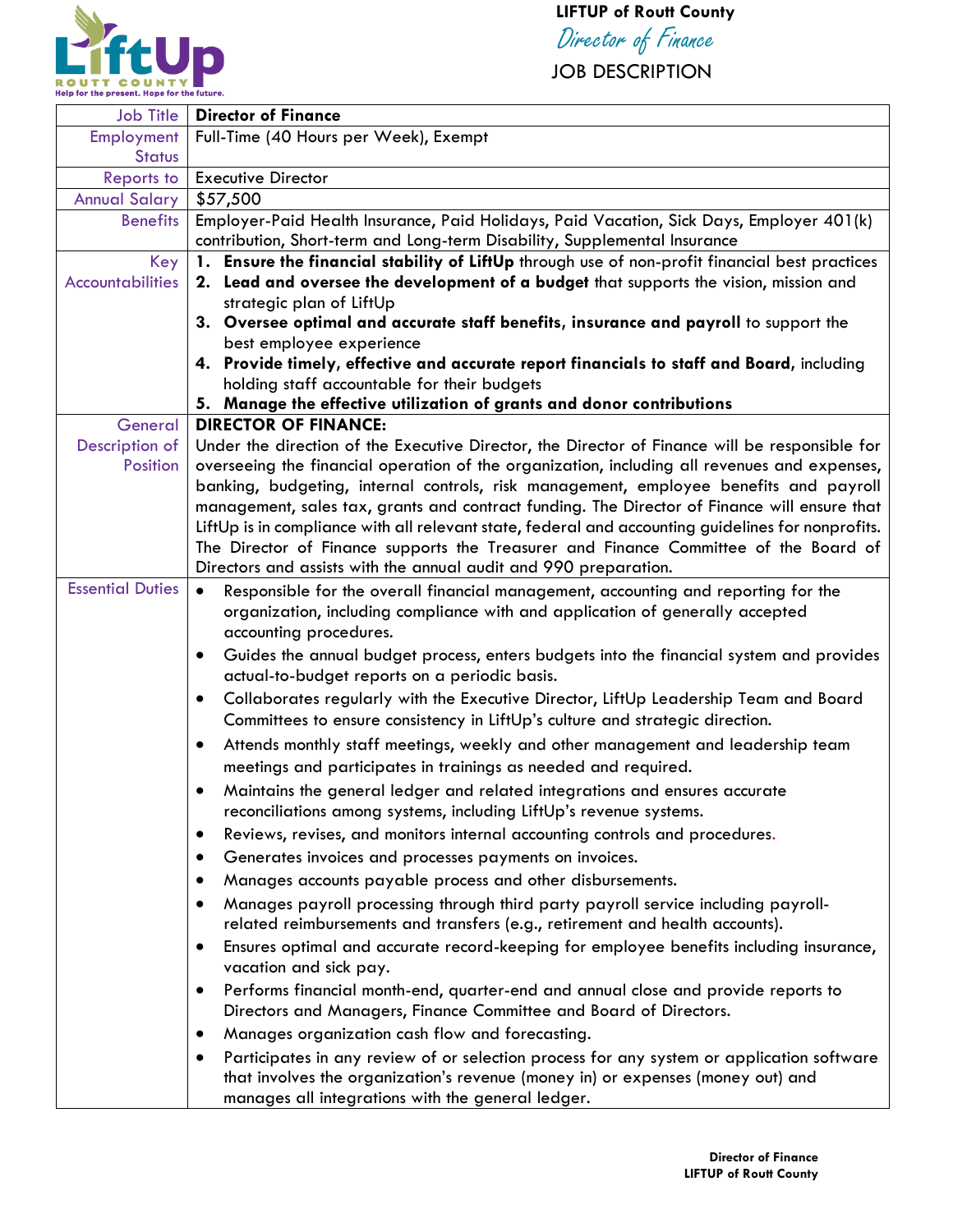

## **LIFTUP of Routt County**

Director of Finance

JOB DESCRIPTION

| <b>Job Title</b>        | <b>Director of Finance</b>                                                                                        |
|-------------------------|-------------------------------------------------------------------------------------------------------------------|
| Employment              | Full-Time (40 Hours per Week), Exempt                                                                             |
| <b>Status</b>           |                                                                                                                   |
| <b>Reports to</b>       | <b>Executive Director</b>                                                                                         |
| <b>Annual Salary</b>    | \$57,500                                                                                                          |
| <b>Benefits</b>         | Employer-Paid Health Insurance, Paid Holidays, Paid Vacation, Sick Days, Employer 401(k)                          |
|                         | contribution, Short-term and Long-term Disability, Supplemental Insurance                                         |
| Key                     | 1. Ensure the financial stability of LiftUp through use of non-profit financial best practices                    |
| <b>Accountabilities</b> | 2. Lead and oversee the development of a budget that supports the vision, mission and<br>strategic plan of LiftUp |
|                         | 3. Oversee optimal and accurate staff benefits, insurance and payroll to support the                              |
|                         | best employee experience                                                                                          |
|                         | 4. Provide timely, effective and accurate report financials to staff and Board, including                         |
|                         | holding staff accountable for their budgets                                                                       |
|                         | 5. Manage the effective utilization of grants and donor contributions                                             |
| General                 | <b>DIRECTOR OF FINANCE:</b>                                                                                       |
| Description of          | Under the direction of the Executive Director, the Director of Finance will be responsible for                    |
| Position                | overseeing the financial operation of the organization, including all revenues and expenses,                      |
|                         | banking, budgeting, internal controls, risk management, employee benefits and payroll                             |
|                         | management, sales tax, grants and contract funding. The Director of Finance will ensure that                      |
|                         | LiftUp is in compliance with all relevant state, federal and accounting guidelines for nonprofits.                |
|                         | The Director of Finance supports the Treasurer and Finance Committee of the Board of                              |
|                         | Directors and assists with the annual audit and 990 preparation.                                                  |
| <b>Essential Duties</b> | Responsible for the overall financial management, accounting and reporting for the<br>$\bullet$                   |
|                         | organization, including compliance with and application of generally accepted                                     |
|                         | accounting procedures.                                                                                            |
|                         | Guides the annual budget process, enters budgets into the financial system and provides<br>$\bullet$              |
|                         | actual-to-budget reports on a periodic basis.                                                                     |
|                         | Collaborates regularly with the Executive Director, LiftUp Leadership Team and Board<br>$\bullet$                 |
|                         | Committees to ensure consistency in LiftUp's culture and strategic direction.                                     |
|                         | Attends monthly staff meetings, weekly and other management and leadership team<br>$\bullet$                      |
|                         | meetings and participates in trainings as needed and required.                                                    |
|                         | Maintains the general ledger and related integrations and ensures accurate                                        |
|                         | reconciliations among systems, including LiftUp's revenue systems.                                                |
|                         | Reviews, revises, and monitors internal accounting controls and procedures.<br>$\bullet$                          |
|                         | Generates invoices and processes payments on invoices.<br>٠                                                       |
|                         | Manages accounts payable process and other disbursements.                                                         |
|                         | Manages payroll processing through third party payroll service including payroll-                                 |
|                         | related reimbursements and transfers (e.g., retirement and health accounts).                                      |
|                         | Ensures optimal and accurate record-keeping for employee benefits including insurance,<br>$\bullet$               |
|                         | vacation and sick pay.                                                                                            |
|                         | Performs financial month-end, quarter-end and annual close and provide reports to                                 |
|                         | Directors and Managers, Finance Committee and Board of Directors.                                                 |
|                         | Manages organization cash flow and forecasting.<br>٠                                                              |
|                         | Participates in any review of or selection process for any system or application software                         |
|                         | that involves the organization's revenue (money in) or expenses (money out) and                                   |
|                         | manages all integrations with the general ledger.                                                                 |